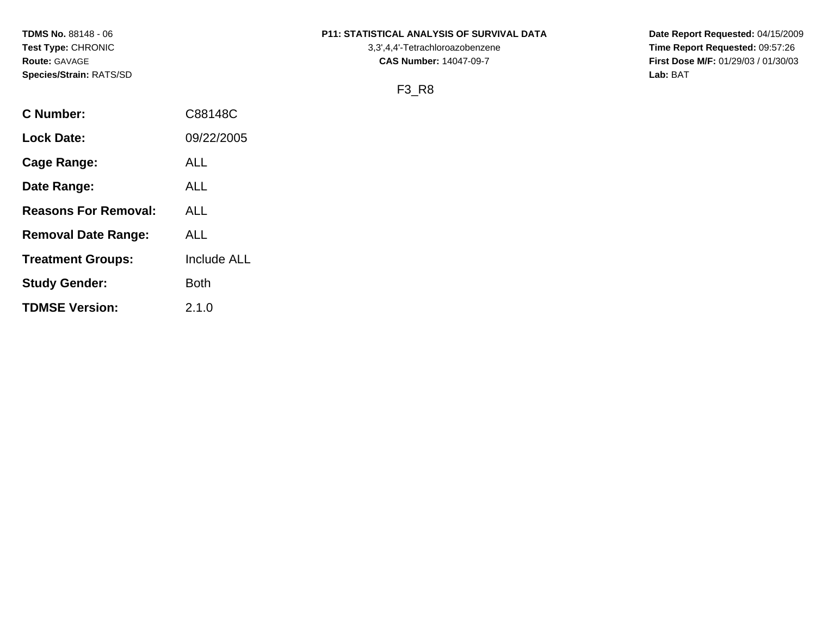**Species/Strain:** RATS/SD **Lab:** BAT

# **TDMS No.** 88148 - 06 **P11: STATISTICAL ANALYSIS OF SURVIVAL DATA Date Report Requested:** 04/15/2009

**Test Type:** CHRONIC 3,3',4,4'-Tetrachloroazobenzene **Time Report Requested:** 09:57:26 **Route:** GAVAGE **CAS Number:** 14047-09-7 **First Dose M/F:** 01/29/03 / 01/30/03

# F3\_R8

| <b>C</b> Number:            | C88148C            |
|-----------------------------|--------------------|
| <b>Lock Date:</b>           | 09/22/2005         |
| Cage Range:                 | ALL                |
| Date Range:                 | ALL                |
| <b>Reasons For Removal:</b> | ALL                |
| <b>Removal Date Range:</b>  | ALL                |
| <b>Treatment Groups:</b>    | <b>Include ALL</b> |
| <b>Study Gender:</b>        | Both               |
| <b>TDMSE Version:</b>       | 2.1.0              |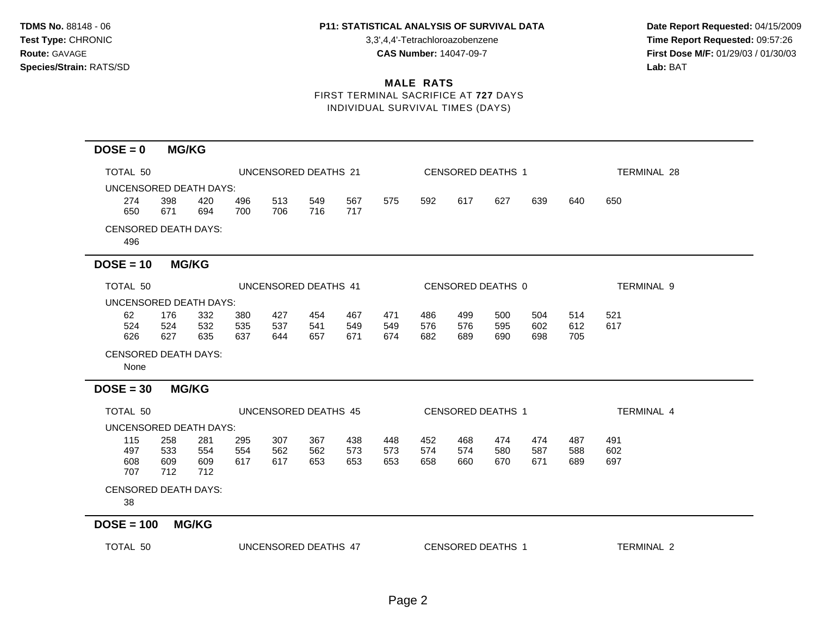**Test Type:** CHRONIC 3,3',4,4'-Tetrachloroazobenzene **Time Report Requested:** 09:57:26 **Route:** GAVAGE **CAS Number:** 14047-09-7 **First Dose M/F:** 01/29/03 / 01/30/03

#### **MALE RATS** FIRST TERMINAL SACRIFICE AT **727** DAYS

INDIVIDUAL SURVIVAL TIMES (DAYS)

| TOTAL 50                            |                          |                          |                   | UNCENSORED DEATHS 21 |                   |                   |                   |                          |                   | <b>CENSORED DEATHS 1</b> |                   | TERMINAL 28       |                   |  |  |
|-------------------------------------|--------------------------|--------------------------|-------------------|----------------------|-------------------|-------------------|-------------------|--------------------------|-------------------|--------------------------|-------------------|-------------------|-------------------|--|--|
| UNCENSORED DEATH DAYS:              |                          |                          |                   |                      |                   |                   |                   |                          |                   |                          |                   |                   |                   |  |  |
| 274<br>650                          | 398<br>671               | 420<br>694               | 496<br>700        | 513<br>706           | 549<br>716        | 567<br>717        | 575               | 592                      | 617               | 627                      | 639               | 640               | 650               |  |  |
| <b>CENSORED DEATH DAYS:</b><br>496  |                          |                          |                   |                      |                   |                   |                   |                          |                   |                          |                   |                   |                   |  |  |
| $DOSE = 10$                         |                          | <b>MG/KG</b>             |                   |                      |                   |                   |                   |                          |                   |                          |                   |                   |                   |  |  |
| TOTAL 50                            |                          |                          |                   | UNCENSORED DEATHS 41 |                   |                   |                   |                          |                   | CENSORED DEATHS 0        |                   |                   | TERMINAL 9        |  |  |
| UNCENSORED DEATH DAYS:              |                          |                          |                   |                      |                   |                   |                   |                          |                   |                          |                   |                   |                   |  |  |
| 62<br>524<br>626                    | 176<br>524<br>627        | 332<br>532<br>635        | 380<br>535<br>637 | 427<br>537<br>644    | 454<br>541<br>657 | 467<br>549<br>671 | 471<br>549<br>674 | 486<br>576<br>682        | 499<br>576<br>689 | 500<br>595<br>690        | 504<br>602<br>698 | 514<br>612<br>705 | 521<br>617        |  |  |
| <b>CENSORED DEATH DAYS:</b><br>None |                          |                          |                   |                      |                   |                   |                   |                          |                   |                          |                   |                   |                   |  |  |
| $DOSE = 30$                         |                          | <b>MG/KG</b>             |                   |                      |                   |                   |                   |                          |                   |                          |                   |                   |                   |  |  |
| TOTAL 50                            |                          |                          |                   | UNCENSORED DEATHS 45 |                   |                   |                   | <b>CENSORED DEATHS 1</b> |                   |                          |                   |                   | <b>TERMINAL 4</b> |  |  |
| UNCENSORED DEATH DAYS:              |                          |                          |                   |                      |                   |                   |                   |                          |                   |                          |                   |                   |                   |  |  |
| 115<br>497<br>608<br>707            | 258<br>533<br>609<br>712 | 281<br>554<br>609<br>712 | 295<br>554<br>617 | 307<br>562<br>617    | 367<br>562<br>653 | 438<br>573<br>653 | 448<br>573<br>653 | 452<br>574<br>658        | 468<br>574<br>660 | 474<br>580<br>670        | 474<br>587<br>671 | 487<br>588<br>689 | 491<br>602<br>697 |  |  |
| <b>CENSORED DEATH DAYS:</b><br>38   |                          |                          |                   |                      |                   |                   |                   |                          |                   |                          |                   |                   |                   |  |  |
| $DOSE = 100$                        |                          | <b>MG/KG</b>             |                   |                      |                   |                   |                   |                          |                   |                          |                   |                   |                   |  |  |

TOTAL 50 UNCENSORED DEATHS 47 CENSORED DEATHS 1 TERMINAL 2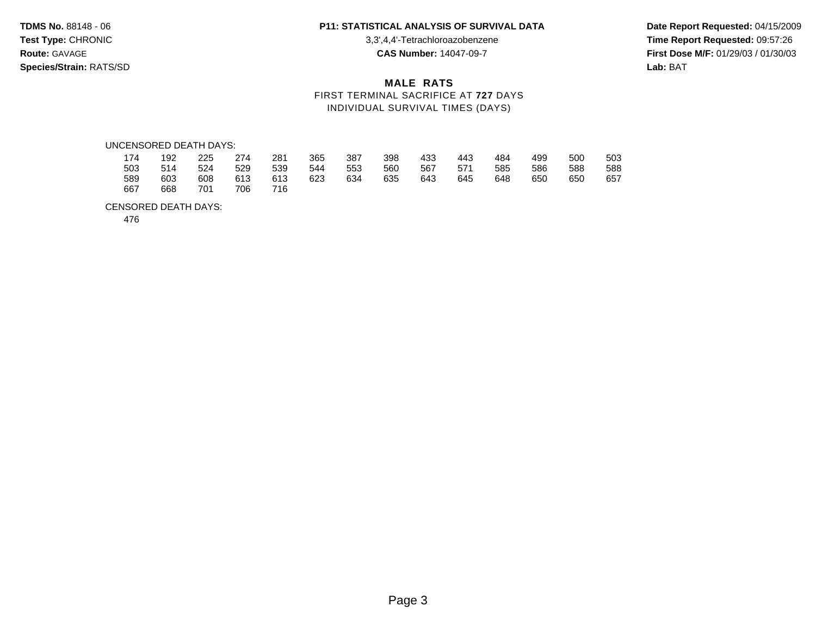**Test Type:** CHRONIC 3,3',4,4'-Tetrachloroazobenzene **Time Report Requested:** 09:57:26 **Route:** GAVAGE **CAS Number:** 14047-09-7 **First Dose M/F:** 01/29/03 / 01/30/03 **Species/Strain:** RATS/SD **Lab:** BAT

# **MALE RATS** FIRST TERMINAL SACRIFICE AT **727** DAYS INDIVIDUAL SURVIVAL TIMES (DAYS)

#### UNCENSORED DEATH DAYS:

| 174 | 192 | 225 | 274 | 281 | 365 | 387 | 398 | 433 | 443 | 484 | 499 | 500 | 503 |
|-----|-----|-----|-----|-----|-----|-----|-----|-----|-----|-----|-----|-----|-----|
| 503 | 514 | 524 | 529 | 539 | 544 | 553 | 560 | 567 | 571 | 585 | 586 | 588 | 588 |
| 589 | 603 | 608 | 613 | 613 | 623 | 634 | 635 | 643 | 645 | 648 | 650 | 650 | 657 |
| 667 | 668 | 701 | 706 | 716 |     |     |     |     |     |     |     |     |     |

#### CENSORED DEATH DAYS:

476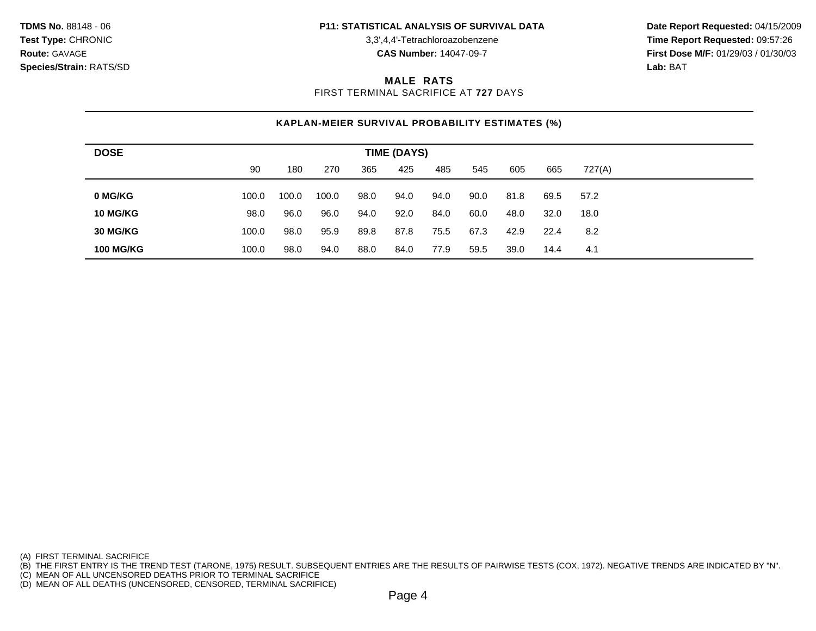**Test Type:** CHRONIC 3,3',4,4'-Tetrachloroazobenzene **Time Report Requested:** 09:57:26 **Route:** GAVAGE **CAS Number:** 14047-09-7 **First Dose M/F:** 01/29/03 / 01/30/03

## **MALE RATS**

FIRST TERMINAL SACRIFICE AT **727** DAYS

# **KAPLAN-MEIER SURVIVAL PROBABILITY ESTIMATES (%)**

| <b>DOSE</b>      | TIME (DAYS) |       |       |      |      |      |      |      |      |        |  |
|------------------|-------------|-------|-------|------|------|------|------|------|------|--------|--|
|                  | 90          | 180   | 270   | 365  | 425  | 485  | 545  | 605  | 665  | 727(A) |  |
| 0 MG/KG          | 100.0       | 100.0 | 100.0 | 98.0 | 94.0 | 94.0 | 90.0 | 81.8 | 69.5 | 57.2   |  |
| 10 MG/KG         | 98.0        | 96.0  | 96.0  | 94.0 | 92.0 | 84.0 | 60.0 | 48.0 | 32.0 | 18.0   |  |
| 30 MG/KG         | 100.0       | 98.0  | 95.9  | 89.8 | 87.8 | 75.5 | 67.3 | 42.9 | 22.4 | 8.2    |  |
| <b>100 MG/KG</b> | 100.0       | 98.0  | 94.0  | 88.0 | 84.0 | 77.9 | 59.5 | 39.0 | 14.4 | 4.1    |  |

(A) FIRST TERMINAL SACRIFICE

(B) THE FIRST ENTRY IS THE TREND TEST (TARONE, 1975) RESULT. SUBSEQUENT ENTRIES ARE THE RESULTS OF PAIRWISE TESTS (COX, 1972). NEGATIVE TRENDS ARE INDICATED BY "N".

(C) MEAN OF ALL UNCENSORED DEATHS PRIOR TO TERMINAL SACRIFICE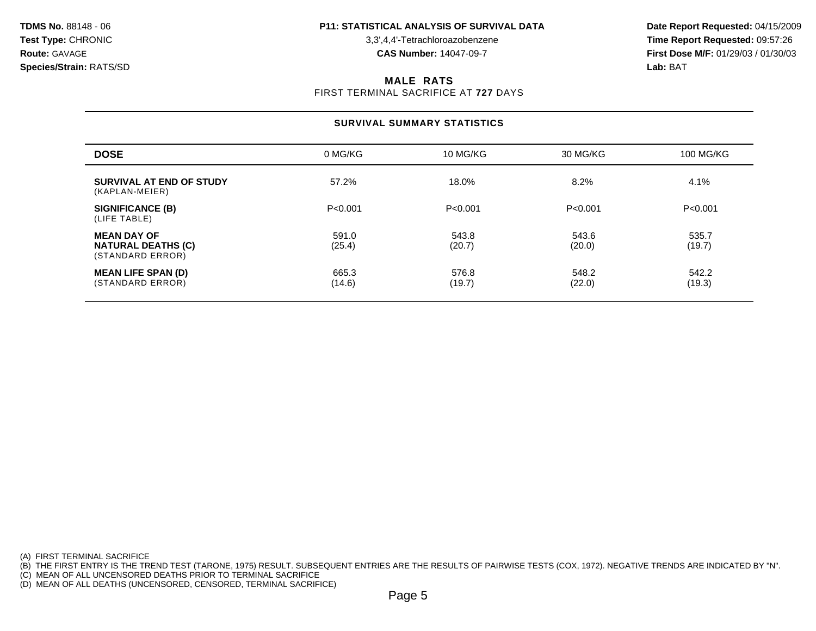**Test Type:** CHRONIC 3,3',4,4'-Tetrachloroazobenzene **Time Report Requested:** 09:57:26 **Route:** GAVAGE **CAS Number:** 14047-09-7 **First Dose M/F:** 01/29/03 / 01/30/03

#### **MALE RATS**

FIRST TERMINAL SACRIFICE AT **727** DAYS

# **SURVIVAL SUMMARY STATISTICS**

| <b>DOSE</b>                                                         | 0 MG/KG         | 10 MG/KG        | 30 MG/KG        | 100 MG/KG       |
|---------------------------------------------------------------------|-----------------|-----------------|-----------------|-----------------|
| SURVIVAL AT END OF STUDY<br>(KAPLAN-MEIER)                          | 57.2%           | 18.0%           | 8.2%            | 4.1%            |
| <b>SIGNIFICANCE (B)</b><br>(LIFE TABLE)                             | P < 0.001       | P < 0.001       | P < 0.001       | P < 0.001       |
| <b>MEAN DAY OF</b><br><b>NATURAL DEATHS (C)</b><br>(STANDARD ERROR) | 591.0<br>(25.4) | 543.8<br>(20.7) | 543.6<br>(20.0) | 535.7<br>(19.7) |
| <b>MEAN LIFE SPAN (D)</b><br>(STANDARD ERROR)                       | 665.3<br>(14.6) | 576.8<br>(19.7) | 548.2<br>(22.0) | 542.2<br>(19.3) |

(A) FIRST TERMINAL SACRIFICE

(B) THE FIRST ENTRY IS THE TREND TEST (TARONE, 1975) RESULT. SUBSEQUENT ENTRIES ARE THE RESULTS OF PAIRWISE TESTS (COX, 1972). NEGATIVE TRENDS ARE INDICATED BY "N".

(C) MEAN OF ALL UNCENSORED DEATHS PRIOR TO TERMINAL SACRIFICE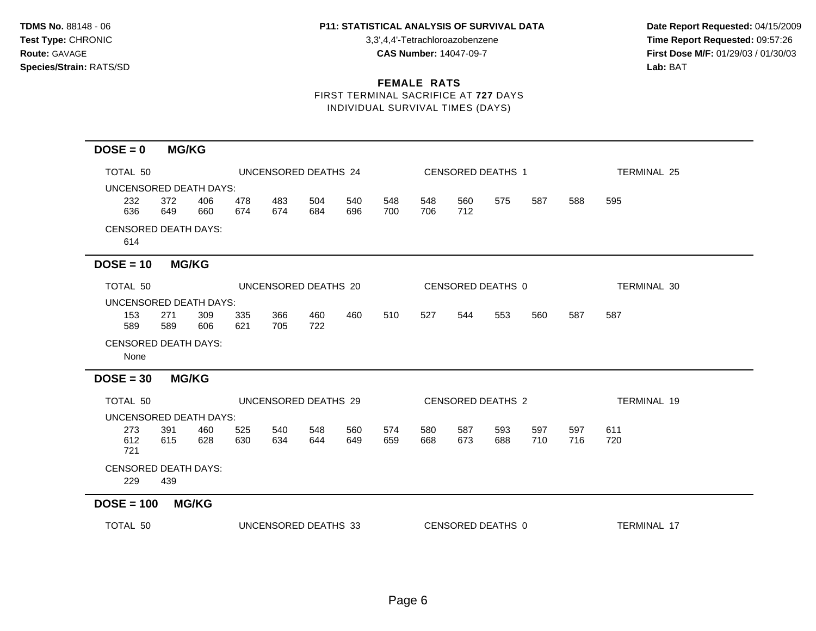## TDMS No. 88148 - 06 **P11: STATISTICAL ANALYSIS OF SURVIVAL DATA** Date Report Requested: 04/15/2009

**Test Type:** CHRONIC 3,3',4,4'-Tetrachloroazobenzene **Time Report Requested:** 09:57:26 **Route:** GAVAGE **CAS Number:** 14047-09-7 **First Dose M/F:** 01/29/03 / 01/30/03

# **FEMALE RATS**

FIRST TERMINAL SACRIFICE AT **727** DAYS INDIVIDUAL SURVIVAL TIMES (DAYS)

# **DOSE = 0 MG/KG**

| TOTAL 50                            |            |                      |            | UNCENSORED DEATHS 24 |            |            |            |            |            | CENSORED DEATHS 1 |            | <b>TERMINAL 25</b> |                    |  |  |
|-------------------------------------|------------|----------------------|------------|----------------------|------------|------------|------------|------------|------------|-------------------|------------|--------------------|--------------------|--|--|
| UNCENSORED DEATH DAYS:              |            |                      |            |                      |            |            |            |            |            |                   |            |                    |                    |  |  |
| 232<br>636                          | 372<br>649 | 406<br>660           | 478<br>674 | 483<br>674           | 504<br>684 | 540<br>696 | 548<br>700 | 548<br>706 | 560<br>712 | 575               | 587        | 588                | 595                |  |  |
| <b>CENSORED DEATH DAYS:</b><br>614  |            |                      |            |                      |            |            |            |            |            |                   |            |                    |                    |  |  |
| $DOSE = 10$                         |            | <b>MG/KG</b>         |            |                      |            |            |            |            |            |                   |            |                    |                    |  |  |
| TOTAL 50                            |            | UNCENSORED DEATHS 20 |            |                      |            |            |            |            |            | CENSORED DEATHS 0 |            |                    | TERMINAL 30        |  |  |
| UNCENSORED DEATH DAYS:              |            |                      |            |                      |            |            |            |            |            |                   |            |                    |                    |  |  |
| 153<br>589                          | 271<br>589 | 309<br>606           | 335<br>621 | 366<br>705           | 460<br>722 | 460        | 510        | 527        | 544        | 553               | 560        | 587                | 587                |  |  |
| <b>CENSORED DEATH DAYS:</b><br>None |            |                      |            |                      |            |            |            |            |            |                   |            |                    |                    |  |  |
| $DOSE = 30$                         |            | <b>MG/KG</b>         |            |                      |            |            |            |            |            |                   |            |                    |                    |  |  |
| TOTAL 50                            |            | UNCENSORED DEATHS 29 |            |                      |            |            |            |            |            | CENSORED DEATHS 2 |            |                    | TERMINAL 19        |  |  |
| UNCENSORED DEATH DAYS:              |            |                      |            |                      |            |            |            |            |            |                   |            |                    |                    |  |  |
| 273<br>612<br>721                   | 391<br>615 | 460<br>628           | 525<br>630 | 540<br>634           | 548<br>644 | 560<br>649 | 574<br>659 | 580<br>668 | 587<br>673 | 593<br>688        | 597<br>710 | 597<br>716         | 611<br>720         |  |  |
| <b>CENSORED DEATH DAYS:</b>         |            |                      |            |                      |            |            |            |            |            |                   |            |                    |                    |  |  |
| 229                                 | 439        |                      |            |                      |            |            |            |            |            |                   |            |                    |                    |  |  |
| $DOSE = 100$                        |            | <b>MG/KG</b>         |            |                      |            |            |            |            |            |                   |            |                    |                    |  |  |
| TOTAL 50                            |            |                      |            | UNCENSORED DEATHS 33 |            |            |            |            |            | CENSORED DEATHS 0 |            |                    | <b>TERMINAL 17</b> |  |  |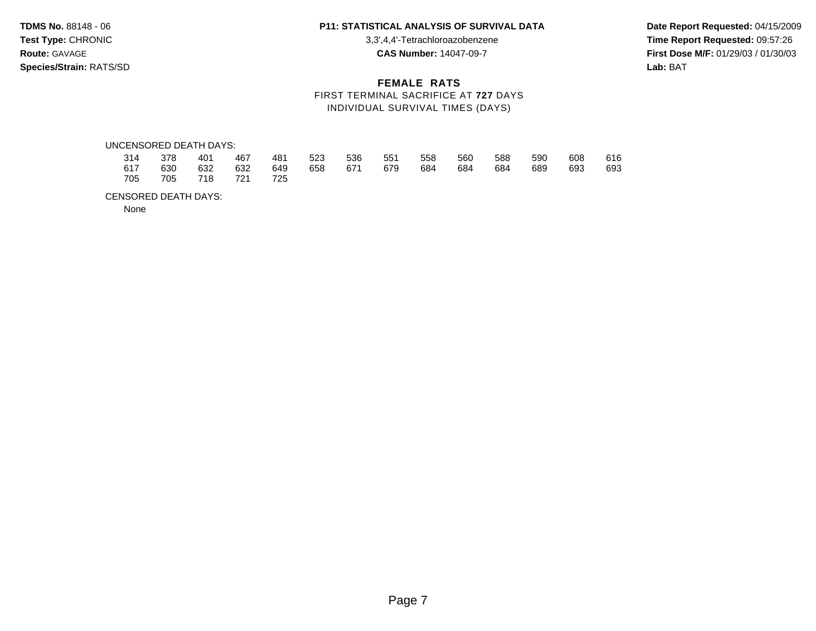**Test Type:** CHRONIC 3,3',4,4'-Tetrachloroazobenzene **Time Report Requested:** 09:57:26 **Route:** GAVAGE **CAS Number:** 14047-09-7 **First Dose M/F:** 01/29/03 / 01/30/03 **Species/Strain:** RATS/SD **Lab:** BAT

## **FEMALE RATS** FIRST TERMINAL SACRIFICE AT **727** DAYS INDIVIDUAL SURVIVAL TIMES (DAYS)

#### UNCENSORED DEATH DAYS:

|  |                     |  |  | 314 378 401 467 481 523 536 551 558 560 588 590 |  |                 | 608 616 |  |
|--|---------------------|--|--|-------------------------------------------------|--|-----------------|---------|--|
|  |                     |  |  | 617 630 632 632 649 658 671 679 684 684         |  | 684 689 693 693 |         |  |
|  | 705 705 718 721 725 |  |  |                                                 |  |                 |         |  |

#### CENSORED DEATH DAYS:

None

# **TDMS No.** 88148 - 06 **P11: STATISTICAL ANALYSIS OF SURVIVAL DATA Date Report Requested:** 04/15/2009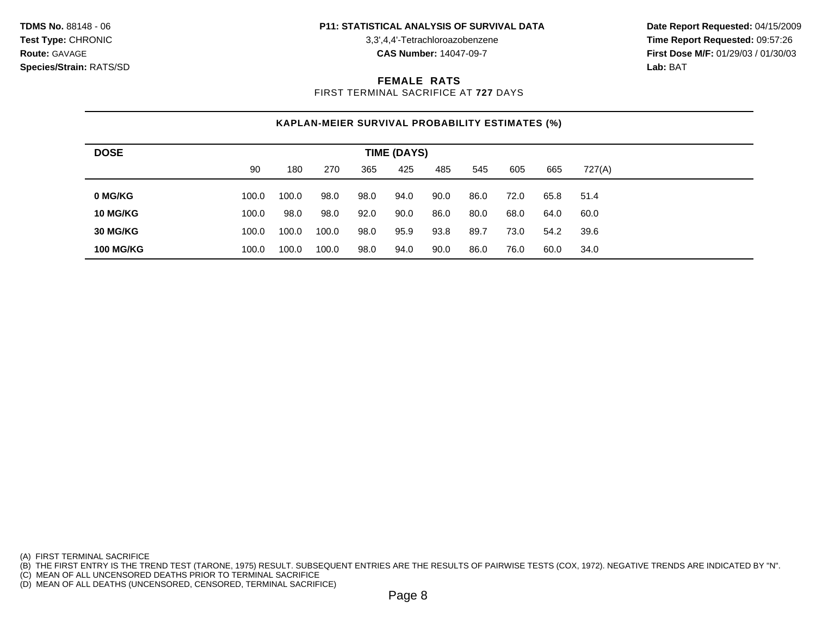**Test Type:** CHRONIC 3,3',4,4'-Tetrachloroazobenzene **Time Report Requested:** 09:57:26 **Route:** GAVAGE **CAS Number:** 14047-09-7 **First Dose M/F:** 01/29/03 / 01/30/03

## **FEMALE RATS**

FIRST TERMINAL SACRIFICE AT **727** DAYS

# **KAPLAN-MEIER SURVIVAL PROBABILITY ESTIMATES (%)**

| <b>DOSE</b>      |       |       |       |      |      |      |      |      |      |        |  |
|------------------|-------|-------|-------|------|------|------|------|------|------|--------|--|
|                  | 90    | 180   | 270   | 365  | 425  | 485  | 545  | 605  | 665  | 727(A) |  |
| 0 MG/KG          | 100.0 | 100.0 | 98.0  | 98.0 | 94.0 | 90.0 | 86.0 | 72.0 | 65.8 | 51.4   |  |
| 10 MG/KG         | 100.0 | 98.0  | 98.0  | 92.0 | 90.0 | 86.0 | 80.0 | 68.0 | 64.0 | 60.0   |  |
| <b>30 MG/KG</b>  | 100.0 | 100.0 | 100.0 | 98.0 | 95.9 | 93.8 | 89.7 | 73.0 | 54.2 | 39.6   |  |
| <b>100 MG/KG</b> | 100.0 | 100.0 | 100.0 | 98.0 | 94.0 | 90.0 | 86.0 | 76.0 | 60.0 | 34.0   |  |

(A) FIRST TERMINAL SACRIFICE

(B) THE FIRST ENTRY IS THE TREND TEST (TARONE, 1975) RESULT. SUBSEQUENT ENTRIES ARE THE RESULTS OF PAIRWISE TESTS (COX, 1972). NEGATIVE TRENDS ARE INDICATED BY "N".

(C) MEAN OF ALL UNCENSORED DEATHS PRIOR TO TERMINAL SACRIFICE